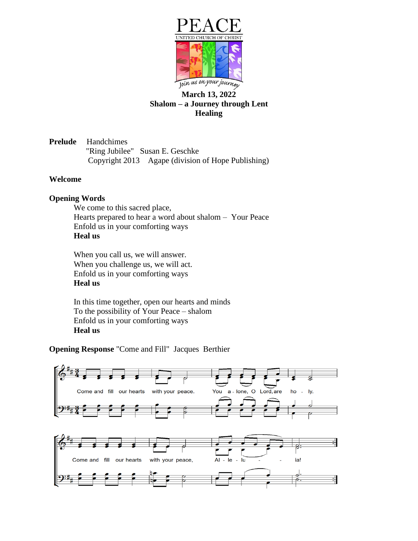

# **March 13, 2022 Shalom – a Journey through Lent Healing**

**Prelude** Handchimes "Ring Jubilee" Susan E. Geschke Copyright 2013 Agape (division of Hope Publishing)

## **Welcome**

## **Opening Words**

We come to this sacred place, Hearts prepared to hear a word about shalom – Your Peace Enfold us in your comforting ways **Heal us**

When you call us, we will answer. When you challenge us, we will act. Enfold us in your comforting ways **Heal us**

In this time together, open our hearts and minds To the possibility of Your Peace – shalom Enfold us in your comforting ways **Heal us**

**Opening Response** "Come and Fill" Jacques Berthier

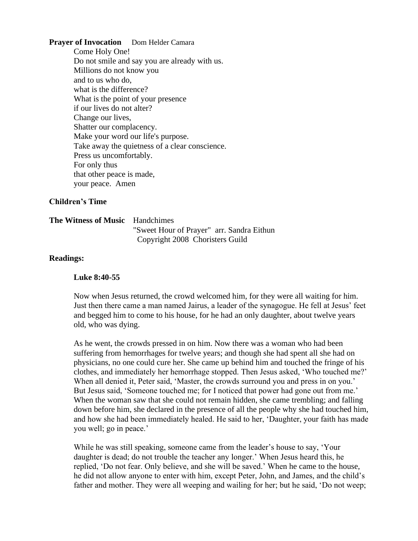## **Prayer of Invocation** Dom Helder Camara

Come Holy One! Do not smile and say you are already with us. Millions do not know you and to us who do, what is the difference? What is the point of your presence if our lives do not alter? Change our lives, Shatter our complacency. Make your word our life's purpose. Take away the quietness of a clear conscience. Press us uncomfortably. For only thus that other peace is made, your peace. Amen

## **Children's Time**

**The Witness of Music** Handchimes "Sweet Hour of Prayer" arr. Sandra Eithun Copyright 2008 Choristers Guild

#### **Readings:**

#### **Luke 8:40-55**

Now when Jesus returned, the crowd welcomed him, for they were all waiting for him. Just then there came a man named Jairus, a leader of the synagogue. He fell at Jesus' feet and begged him to come to his house, for he had an only daughter, about twelve years old, who was dying.

As he went, the crowds pressed in on him. Now there was a woman who had been suffering from hemorrhages for twelve years; and though she had spent all she had on physicians, no one could cure her. She came up behind him and touched the fringe of his clothes, and immediately her hemorrhage stopped. Then Jesus asked, 'Who touched me?' When all denied it, Peter said, 'Master, the crowds surround you and press in on you.' But Jesus said, 'Someone touched me; for I noticed that power had gone out from me.' When the woman saw that she could not remain hidden, she came trembling; and falling down before him, she declared in the presence of all the people why she had touched him, and how she had been immediately healed. He said to her, 'Daughter, your faith has made you well; go in peace.'

While he was still speaking, someone came from the leader's house to say, 'Your daughter is dead; do not trouble the teacher any longer.' When Jesus heard this, he replied, 'Do not fear. Only believe, and she will be saved.' When he came to the house, he did not allow anyone to enter with him, except Peter, John, and James, and the child's father and mother. They were all weeping and wailing for her; but he said, 'Do not weep;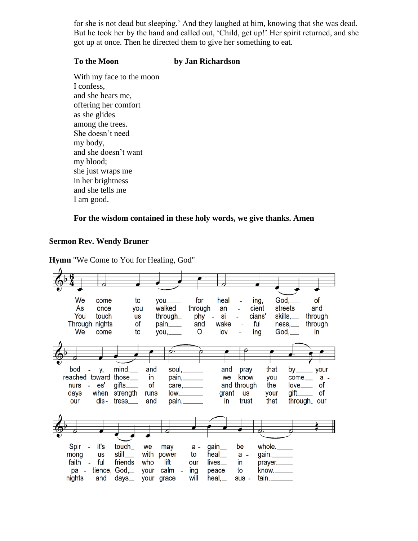for she is not dead but sleeping.' And they laughed at him, knowing that she was dead. But he took her by the hand and called out, 'Child, get up!' Her spirit returned, and she got up at once. Then he directed them to give her something to eat.

# **To the Moon by Jan Richardson**

With my face to the moon I confess, and she hears me, offering her comfort as she glides among the trees. She doesn't need my body, and she doesn't want my blood; she just wraps me in her brightness and she tells me I am good.

# **For the wisdom contained in these holy words, we give thanks. Amen**

## **Sermon Rev. Wendy Bruner**



**Hymn** "We Come to You for Healing, God"